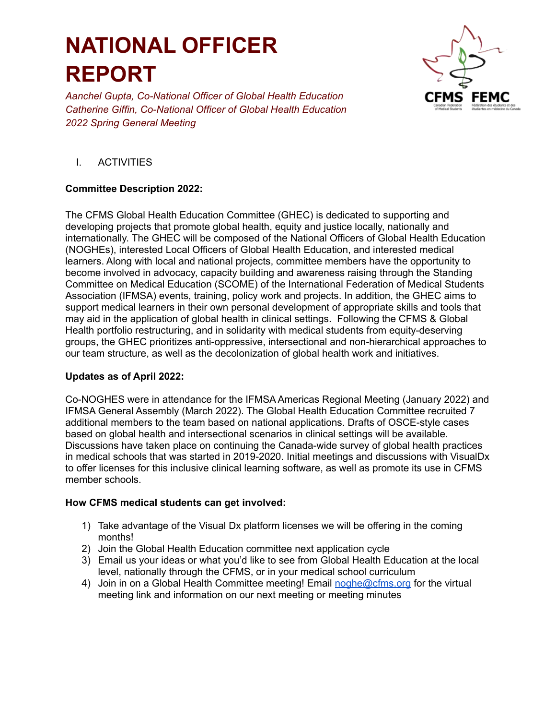# **NATIONAL OFFICER REPORT**

*Aanchel Gupta, Co-National Officer of Global Health Education Catherine Giffin, Co-National Officer of Global Health Education 2022 Spring General Meeting*



## I. ACTIVITIES

### **Committee Description 2022:**

The CFMS Global Health Education Committee (GHEC) is dedicated to supporting and developing projects that promote global health, equity and justice locally, nationally and internationally. The GHEC will be composed of the National Officers of Global Health Education (NOGHEs), interested Local Officers of Global Health Education, and interested medical learners. Along with local and national projects, committee members have the opportunity to become involved in advocacy, capacity building and awareness raising through the Standing Committee on Medical Education (SCOME) of the International Federation of Medical Students Association (IFMSA) events, training, policy work and projects. In addition, the GHEC aims to support medical learners in their own personal development of appropriate skills and tools that may aid in the application of global health in clinical settings. Following the CFMS & Global Health portfolio restructuring, and in solidarity with medical students from equity-deserving groups, the GHEC prioritizes anti-oppressive, intersectional and non-hierarchical approaches to our team structure, as well as the decolonization of global health work and initiatives.

#### **Updates as of April 2022:**

Co-NOGHES were in attendance for the IFMSA Americas Regional Meeting (January 2022) and IFMSA General Assembly (March 2022). The Global Health Education Committee recruited 7 additional members to the team based on national applications. Drafts of OSCE-style cases based on global health and intersectional scenarios in clinical settings will be available. Discussions have taken place on continuing the Canada-wide survey of global health practices in medical schools that was started in 2019-2020. Initial meetings and discussions with VisualDx to offer licenses for this inclusive clinical learning software, as well as promote its use in CFMS member schools.

#### **How CFMS medical students can get involved:**

- 1) Take advantage of the Visual Dx platform licenses we will be offering in the coming months!
- 2) Join the Global Health Education committee next application cycle
- 3) Email us your ideas or what you'd like to see from Global Health Education at the local level, nationally through the CFMS, or in your medical school curriculum
- 4) Join in on a Global Health Committee meeting! Email [noghe@cfms.org](mailto:noghe@cfms.org) for the virtual meeting link and information on our next meeting or meeting minutes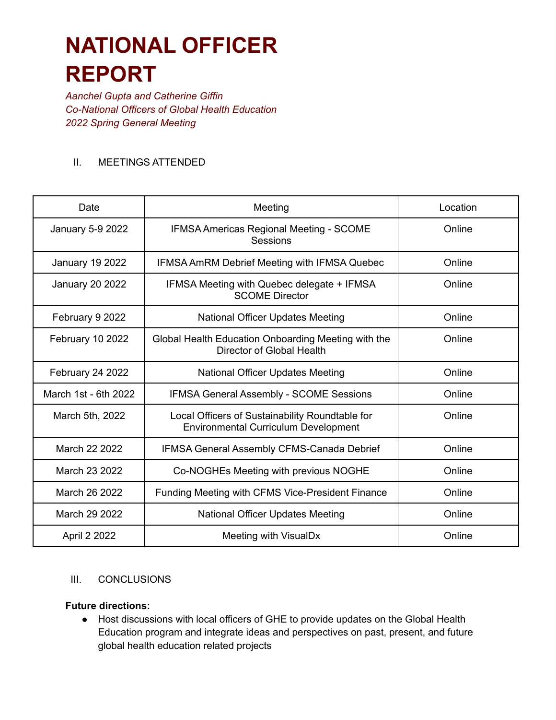# **NATIONAL OFFICER REPORT**

*Aanchel Gupta and Catherine Giffin Co-National Officers of Global Health Education 2022 Spring General Meeting*

## II. MEETINGS ATTENDED

| Date                   | Meeting                                                                                        | Location |
|------------------------|------------------------------------------------------------------------------------------------|----------|
| January 5-9 2022       | IFMSA Americas Regional Meeting - SCOME<br>Sessions                                            | Online   |
| <b>January 19 2022</b> | <b>IFMSA AmRM Debrief Meeting with IFMSA Quebec</b>                                            | Online   |
| January 20 2022        | IFMSA Meeting with Quebec delegate + IFMSA<br><b>SCOME Director</b>                            | Online   |
| February 9 2022        | National Officer Updates Meeting                                                               | Online   |
| February 10 2022       | Global Health Education Onboarding Meeting with the<br>Director of Global Health               | Online   |
| February 24 2022       | National Officer Updates Meeting                                                               | Online   |
| March 1st - 6th 2022   | <b>IFMSA General Assembly - SCOME Sessions</b>                                                 | Online   |
| March 5th, 2022        | Local Officers of Sustainability Roundtable for<br><b>Environmental Curriculum Development</b> | Online   |
| March 22 2022          | IFMSA General Assembly CFMS-Canada Debrief                                                     | Online   |
| March 23 2022          | Co-NOGHEs Meeting with previous NOGHE                                                          | Online   |
| March 26 2022          | Funding Meeting with CFMS Vice-President Finance                                               | Online   |
| March 29 2022          | <b>National Officer Updates Meeting</b>                                                        | Online   |
| April 2 2022           | Meeting with VisualDx                                                                          | Online   |

## III. CONCLUSIONS

#### **Future directions:**

● Host discussions with local officers of GHE to provide updates on the Global Health Education program and integrate ideas and perspectives on past, present, and future global health education related projects